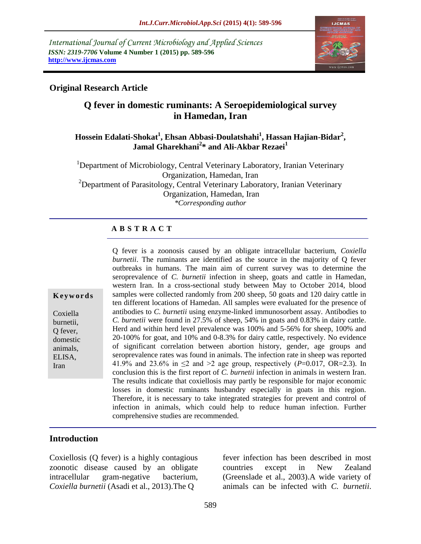*International Journal of Current Microbiology and Applied Sciences ISSN: 2319-7706* **Volume 4 Number 1 (2015) pp. 589-596 http://www.ijcmas.com**



### **Original Research Article**

## **Q fever in domestic ruminants: A Seroepidemiological survey in Hamedan, Iran**

### **Hossein Edalati-Shokat<sup>1</sup> , Ehsan Abbasi-Doulatshahi<sup>1</sup> , Hassan Hajian-Bidar<sup>2</sup> , Jamal Gharekhani<sup>2</sup> \* and Ali-Akbar Rezaei<sup>1</sup>**

<sup>1</sup>Department of Microbiology, Central Veterinary Laboratory, Iranian Veterinary Organization, Hamedan, Iran  $2$ Department of Parasitology, Central Veterinary Laboratory, Iranian Veterinary Organization, Hamedan, Iran *\*Corresponding author*

#### **A B S T R A C T**

**K e y w o r d s**

Coxiella burnetii, Q fever, domestic animals, ELISA, Iran

Q fever is a zoonosis caused by an obligate intracellular bacterium, *Coxiella burnetii*. The ruminants are identified as the source in the majority of Q fever outbreaks in humans. The main aim of current survey was to determine the seroprevalence of *C. burnetii* infection in sheep, goats and cattle in Hamedan, western Iran. In a cross-sectional study between May to October 2014, blood samples were collected randomly from 200 sheep, 50 goats and 120 dairy cattle in ten different locations of Hamedan. All samples were evaluated for the presence of antibodies to *C. burnetii* using enzyme-linked immunosorbent assay. Antibodies to *C. burnetii* were found in 27.5% of sheep, 54% in goats and 0.83% in dairy cattle. Herd and within herd level prevalence was 100% and 5-56% for sheep, 100% and 20-100% for goat, and 10% and 0-8.3% for dairy cattle, respectively. No evidence of significant correlation between abortion history, gender, age groups and seroprevalence rates was found in animals. The infection rate in sheep was reported 41.9% and 23.6% in  $\leq$  2 and  $>$  2 age group, respectively (*P*=0.017, OR=2.3). In conclusion this is the first report of *C. burnetii* infection in animals in western Iran. The results indicate that coxiellosis may partly be responsible for major economic losses in domestic ruminants husbandry especially in goats in this region. Therefore, it is necessary to take integrated strategies for prevent and control of infection in animals, which could help to reduce human infection. Further comprehensive studies are recommended.

### **Introduction**

Coxiellosis (Q fever) is a highly contagious zoonotic disease caused by an obligate intracellular gram-negative bacterium, *Coxiella burnetii* (Asadi et al., 2013).The Q

fever infection has been described in most countries except in New Zealand (Greenslade et al., 2003).A wide variety of animals can be infected with *C. burnetii*.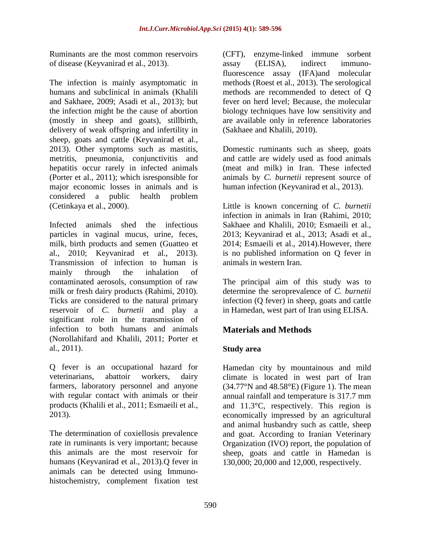Ruminants are the most common reservoirs of disease (Keyvanirad et al., 2013).

The infection is mainly asymptomatic in humans and subclinical in animals (Khalili and Sakhaee, 2009; Asadi et al., 2013); but the infection might be the cause of abortion (mostly in sheep and goats), stillbirth, delivery of weak offspring and infertility in sheep, goats and cattle (Keyvanirad et al., 2013). Other symptoms such as mastitis, metritis, pneumonia, conjunctivitis and hepatitis occur rarely in infected animals (Porter et al., 2011); which isresponsible for major economic losses in animals and is considered a public health problem (Cetinkaya et al., 2000).

Infected animals shed the infectious particles in vaginal mucus, urine, feces, milk, birth products and semen (Guatteo et al., 2010; Keyvanirad et al., 2013). Transmission of infection to human is mainly through the inhalation of contaminated aerosols, consumption of raw milk or fresh dairy products (Rahimi, 2010). Ticks are considered to the natural primary reservoir of *C. burnetii* and play a significant role in the transmission of infection to both humans and animals (Norollahifard and Khalili, 2011; Porter et al., 2011).

Q fever is an occupational hazard for veterinarians, abattoir workers, dairy farmers, laboratory personnel and anyone with regular contact with animals or their products (Khalili et al., 2011; Esmaeili et al., 2013).

The determination of coxiellosis prevalence rate in ruminants is very important; because this animals are the most reservoir for humans (Keyvanirad et al., 2013).Q fever in animals can be detected using Immunohistochemistry, complement fixation test

(CFT), enzyme-linked immune sorbent assay (ELISA), indirect immunofluorescence assay (IFA)and molecular methods (Roest et al., 2013). The serological methods are recommended to detect of Q fever on herd level; Because, the molecular biology techniques have low sensitivity and are available only in reference laboratories (Sakhaee and Khalili, 2010).

Domestic ruminants such as sheep, goats and cattle are widely used as food animals (meat and milk) in Iran. These infected animals by *C. burnetii* represent source of human infection (Keyvanirad et al., 2013).

Little is known concerning of *C. burnetii* infection in animals in Iran (Rahimi, 2010; Sakhaee and Khalili, 2010; Esmaeili et al., 2013; Keyvanirad et al., 2013; Asadi et al., 2014; Esmaeili et al., 2014).However, there is no published information on Q fever in animals in western Iran.

The principal aim of this study was to determine the seroprevalence of *C. burnetii* infection (Q fever) in sheep, goats and cattle in Hamedan, west part of Iran using ELISA.

# **Materials and Methods**

### **Study area**

Hamedan city by mountainous and mild climate is located in west part of Iran  $(34.77^{\circ}N$  and  $48.58^{\circ}E)$  (Figure 1). The mean annual rainfall and temperature is 317.7 mm and 11.3°C, respectively. This region is economically impressed by an agricultural and animal husbandry such as cattle, sheep and goat. According to Iranian Veterinary Organization (IVO) report, the population of sheep, goats and cattle in Hamedan is 130,000; 20,000 and 12,000, respectively.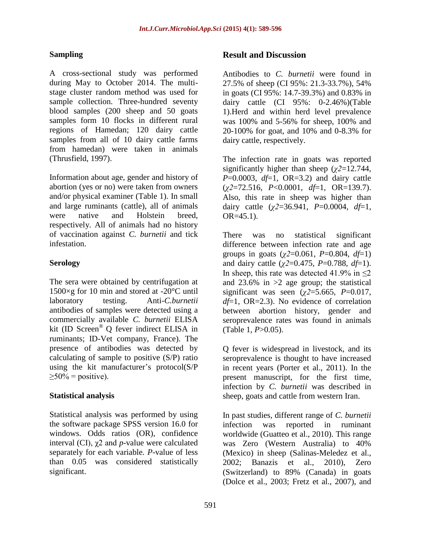### **Sampling**

A cross-sectional study was performed during May to October 2014. The multistage cluster random method was used for sample collection. Three-hundred seventy blood samples (200 sheep and 50 goats samples form 10 flocks in different rural regions of Hamedan; 120 dairy cattle samples from all of 10 dairy cattle farms from hamedan) were taken in animals (Thrusfield, 1997).

Information about age, gender and history of abortion (yes or no) were taken from owners and/or physical examiner (Table 1). In small and large ruminants (cattle), all of animals were native and Holstein breed, respectively. All of animals had no history of vaccination against *C. burnetii* and tick infestation.

### **Serology**

The sera were obtained by centrifugation at 1500×g for 10 min and stored at -20°C until laboratory testing. Anti-*C.burnetii* antibodies of samples were detected using a commercially available *C. burnetii* ELISA kit (ID Screen® Q fever indirect ELISA in ruminants; ID-Vet company, France). The presence of antibodies was detected by calculating of sample to positive (S/P) ratio using the kit manufacturer's protocol(S/P  $\geq 50\%$  = positive).

#### **Statistical analysis**

Statistical analysis was performed by using the software package SPSS version 16.0 for windows. Odds ratios (OR), confidence interval (CI), χ2 and *p-*value were calculated separately for each variable*. P*-value of less than 0.05 was considered statistically significant.

#### **Result and Discussion**

Antibodies to *C. burnetii* were found in 27.5% of sheep (CI 95%: 21.3-33.7%), 54% in goats (CI 95%: 14.7-39.3%) and 0.83% in dairy cattle (CI 95%: 0-2.46%)(Table 1).Herd and within herd level prevalence was 100% and 5-56% for sheep, 100% and 20-100% for goat, and 10% and 0-8.3% for dairy cattle, respectively.

The infection rate in goats was reported significantly higher than sheep (*χ2*=12.744, *P*=0.0003, *df*=1, OR=3.2) and dairy cattle (*χ2*=72.516, *P*<0.0001, *df*=1, OR=139.7). Also, this rate in sheep was higher than dairy cattle (*χ2*=36.941, *P*=0.0004, *df*=1, OR=45.1).

There was no statistical significant difference between infection rate and age groups in goats (*χ2*=0.061, *P*=0.804, *df*=1) and dairy cattle (*χ2*=0.475, *P*=0.788, *df*=1). In sheep, this rate was detected 41.9% in  $\leq 2$ and  $23.6\%$  in  $>2$  age group; the statistical significant was seen ( $\chi$ 2=5.665, *P*=0.017, *df*=1, OR=2.3). No evidence of correlation between abortion history, gender and seroprevalence rates was found in animals (Table 1, *P*>0.05).

Q fever is widespread in livestock, and its seroprevalence is thought to have increased in recent years (Porter et al., 2011). In the present manuscript, for the first time, infection by *C. burnetii* was described in sheep, goats and cattle from western Iran.

In past studies, different range of *C. burnetii* infection was reported in ruminant worldwide (Guatteo et al., 2010). This range was Zero (Western Australia) to 40% (Mexico) in sheep (Salinas-Meledez et al., 2002; Banazis et al., 2010), Zero (Switzerland) to 89% (Canada) in goats (Dolce et al., 2003; Fretz et al., 2007), and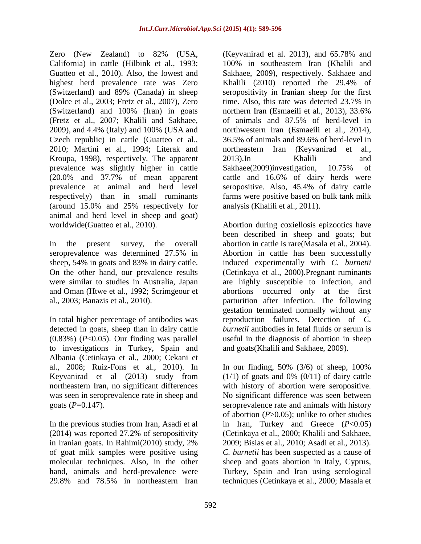Zero (New Zealand) to 82% (USA, California) in cattle (Hilbink et al., 1993; Guatteo et al., 2010). Also, the lowest and highest herd prevalence rate was Zero (Switzerland) and 89% (Canada) in sheep (Dolce et al., 2003; Fretz et al., 2007), Zero (Switzerland) and 100% (Iran) in goats (Fretz et al., 2007; Khalili and Sakhaee, 2009), and 4.4% (Italy) and 100% (USA and Czech republic) in cattle (Guatteo et al., 2010; Martini et al., 1994; Literak and Kroupa, 1998), respectively. The apparent prevalence was slightly higher in cattle (20.0% and 37.7% of mean apparent prevalence at animal and herd level respectively) than in small ruminants (around 15.0% and 25% respectively for animal and herd level in sheep and goat) worldwide(Guatteo et al., 2010).

In the present survey, the overall seroprevalence was determined 27.5% in sheep, 54% in goats and 83% in dairy cattle. On the other hand, our prevalence results were similar to studies in Australia, Japan and Oman (Htwe et al., 1992; Scrimgeour et al., 2003; Banazis et al., 2010).

In total higher percentage of antibodies was detected in goats, sheep than in dairy cattle (0.83%) (*P*<0.05). Our finding was parallel to investigations in Turkey, Spain and Albania (Cetinkaya et al., 2000; Cekani et al., 2008; Ruiz-Fons et al., 2010). In Keyvanirad et al (2013) study from northeastern Iran, no significant differences was seen in seroprevalence rate in sheep and goats  $(P=0.147)$ .

In the previous studies from Iran, Asadi et al (2014) was reported 27.2% of seropositivity in Iranian goats. In Rahimi(2010) study, 2% of goat milk samples were positive using molecular techniques. Also, in the other hand, animals and herd-prevalence were 29.8% and 78.5% in northeastern Iran

(Keyvanirad et al. 2013), and 65.78% and 100% in southeastern Iran (Khalili and Sakhaee, 2009), respectively. Sakhaee and Khalili (2010) reported the 29.4% of seropositivity in Iranian sheep for the first time. Also, this rate was detected 23.7% in northern Iran (Esmaeili et al., 2013), 33.6% of animals and 87.5% of herd-level in northwestern Iran (Esmaeili et al., 2014), 36.5% of animals and 89.6% of herd-level in northeastern Iran (Keyvanirad et al., 2013).In Khalili and Sakhaee(2009)investigation, 10.75% of cattle and 16.6% of dairy herds were seropositive. Also, 45.4% of dairy cattle farms were positive based on bulk tank milk analysis (Khalili et al., 2011).

Abortion during coxiellosis epizootics have been described in sheep and goats; but abortion in cattle is rare(Masala et al., 2004). Abortion in cattle has been successfully induced experimentally with *C. burnetii* (Cetinkaya et al., 2000).Pregnant ruminants are highly susceptible to infection, and abortions occurred only at the first parturition after infection. The following gestation terminated normally without any reproduction failures. Detection of *C. burnetii* antibodies in fetal fluids or serum is useful in the diagnosis of abortion in sheep and goats(Khalili and Sakhaee, 2009).

In our finding,  $50\%$  ( $3/6$ ) of sheep,  $100\%$  $(1/1)$  of goats and 0%  $(0/11)$  of dairy cattle with history of abortion were seropositive. No significant difference was seen between seroprevalence rate and animals with history of abortion (*P*>0.05); unlike to other studies in Iran, Turkey and Greece (*P*<0.05) (Cetinkaya et al., 2000; Khalili and Sakhaee, 2009; Bisias et al., 2010; Asadi et al., 2013). *C. burnetii* has been suspected as a cause of sheep and goats abortion in Italy, Cyprus, Turkey, Spain and Iran using serological techniques (Cetinkaya et al., 2000; Masala et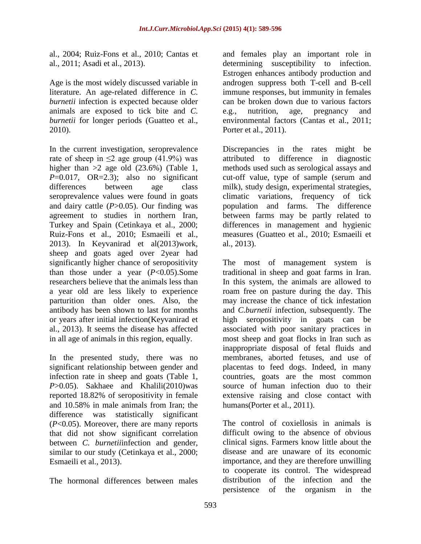al., 2004; Ruiz-Fons et al., 2010; Cantas et al., 2011; Asadi et al., 2013).

Age is the most widely discussed variable in literature. An age-related difference in *C. burnetii* infection is expected because older animals are exposed to tick bite and *C. burnetii* for longer periods (Guatteo et al., 2010).

In the current investigation, seroprevalence rate of sheep in  $\leq$  age group (41.9%) was higher than  $>2$  age old (23.6%) (Table 1,  $P=0.017$ ,  $OR=2.3$ ; also no significant differences between age class seroprevalence values were found in goats and dairy cattle (*P*>0.05). Our finding was agreement to studies in northern Iran, Turkey and Spain (Cetinkaya et al., 2000; Ruiz-Fons et al., 2010; Esmaeili et al., 2013). In Keyvanirad et al(2013)work, sheep and goats aged over 2year had significantly higher chance of seropositivity than those under a year  $(P<0.05)$ . Some researchers believe that the animals less than a year old are less likely to experience parturition than older ones. Also, the antibody has been shown to last for months or years after initial infection(Keyvanirad et al., 2013). It seems the disease has affected in all age of animals in this region, equally.

In the presented study, there was no significant relationship between gender and infection rate in sheep and goats (Table 1, *P*>0.05). Sakhaee and Khalili(2010)was reported 18.82% of seropositivity in female and 10.58% in male animals from Iran; the difference was statistically significant (*P*<0.05). Moreover, there are many reports that did not show significant correlation between *C. burnetii*infection and gender, similar to our study (Cetinkaya et al., 2000; Esmaeili et al., 2013).

The hormonal differences between males

and females play an important role in determining susceptibility to infection. Estrogen enhances antibody production and androgen suppress both T-cell and B-cell immune responses, but immunity in females can be broken down due to various factors e.g., nutrition, age, pregnancy and environmental factors (Cantas et al., 2011; Porter et al., 2011).

Discrepancies in the rates might be attributed to difference in diagnostic methods used such as serological assays and cut-off value, type of sample (serum and milk), study design, experimental strategies, climatic variations, frequency of tick population and farms. The difference between farms may be partly related to differences in management and hygienic measures (Guatteo et al., 2010; Esmaeili et al., 2013).

The most of management system is traditional in sheep and goat farms in Iran. In this system, the animals are allowed to roam free on pasture during the day. This may increase the chance of tick infestation and *C.burnetii* infection, subsequently. The high seropositivity in goats can be associated with poor sanitary practices in most sheep and goat flocks in Iran such as inappropriate disposal of fetal fluids and membranes, aborted fetuses, and use of placentas to feed dogs. Indeed, in many countries, goats are the most common source of human infection duo to their extensive raising and close contact with humans(Porter et al., 2011).

The control of coxiellosis in animals is difficult owing to the absence of obvious clinical signs. Farmers know little about the disease and are unaware of its economic importance, and they are therefore unwilling to cooperate its control. The widespread distribution of the infection and the persistence of the organism in the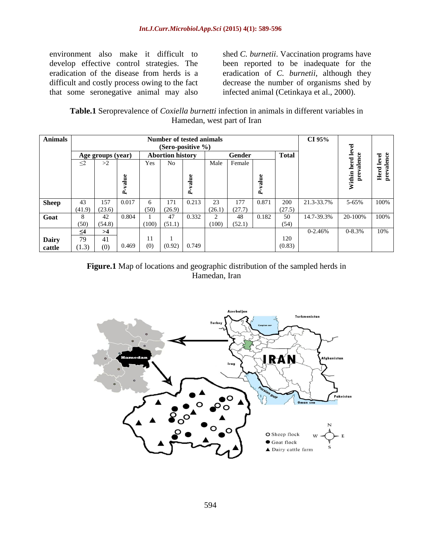environment also make it difficult to develop effective control strategies. The eradication of the disease from herds is a difficult and costly process owing to the fact that some seronegative animal may also shed *C. burnetii*. Vaccination programs have been reported to be inadequate for the eradication of *C. burnetii*, although they decrease the number of organisms shed by infected animal (Cetinkaya et al., 2000).

**Table.1** Seroprevalence of *Coxiella burnetti* infection in animals in different variables in Hamedan, west part of Iran

| <b>Animals</b> | Number of tested animals<br>(Sero-positive $\%$ ) |        |             |                         |                |         |        |        |            |              | CI 95%      |                   |                    |
|----------------|---------------------------------------------------|--------|-------------|-------------------------|----------------|---------|--------|--------|------------|--------------|-------------|-------------------|--------------------|
|                | Age groups (year)                                 |        |             | <b>Abortion history</b> |                |         | Gender |        |            | <b>Total</b> |             | ပ္ပ               | level              |
|                | $\leq$ 2                                          | >2     |             | Yes                     | N <sub>o</sub> |         | Male   | Female |            |              |             | valen             |                    |
|                |                                                   |        |             |                         |                |         |        |        |            |              |             | Within herd level | prevalence<br>Herd |
|                |                                                   |        | value<br>Á, |                         |                | P-value |        |        | alue<br>Á, |              |             |                   |                    |
|                | 43                                                | 157    | 0.017       | 6                       | 171            | 0.213   | 23     | 177    | 0.871      | 200          | 21.3-33.7%  | $5 - 65%$         | 100%               |
| <b>Sheep</b>   | (41.9)                                            | (23.6) |             | (50)                    | (26.9)         |         | (26.1) | (27.7) |            | (27.5)       |             |                   |                    |
| Goat           | 8                                                 | 42     | 0.804       |                         | 47             | 0.332   | 2      | 48     | 0.182      | 50           | 14.7-39.3%  | 20-100%           | 100%               |
|                | (50)                                              | (54.8) |             | (100)                   | (51.1)         |         | (100)  | (52.1) |            | (54)         |             |                   |                    |
|                | $\leq$ 4                                          | >4     |             |                         |                |         |        |        |            |              | $0 - 2.46%$ | $0 - 8.3%$        | 10%                |
| Dairy          | 79                                                | 41     |             | 11                      |                |         |        |        |            | 120          |             |                   |                    |
| cattle         | (1.3)                                             | (0)    | 0.469       | (0)                     | (0.92)         | 0.749   |        |        |            | (0.83)       |             |                   |                    |

#### **Figure.1** Map of locations and geographic distribution of the sampled herds in Hamedan, Iran

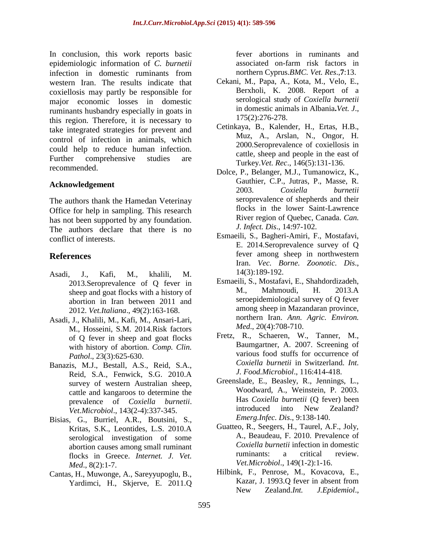In conclusion, this work reports basic epidemiologic information of *C. burnetii* infection in domestic ruminants from western Iran. The results indicate that coxiellosis may partly be responsible for major economic losses in domestic ruminants husbandry especially in goats in this region. Therefore, it is necessary to take integrated strategies for prevent and control of infection in animals, which could help to reduce human infection. Further comprehensive studies are recommended.

#### **Acknowledgement**

The authors thank the Hamedan Veterinay Office for help in sampling. This research has not been supported by any foundation. The authors declare that there is no conflict of interests.

#### **References**

- Asadi, J., Kafi, M., khalili, M. 2013.Seroprevalence of Q fever in sheep and goat flocks with a history of abortion in Iran between 2011 and 2012. *Vet.Italiana*., 49(2):163-168.
- Asadi, J., Khalili, M., Kafi, M., Ansari-Lari, M., Hosseini, S.M. 2014.Risk factors of Q fever in sheep and goat flocks with history of abortion. *Comp. Clin. Pathol*., 23(3):625-630.
- Banazis, M.J., Bestall, A.S., Reid, S.A., Reid, S.A., Fenwick, S.G. 2010.A survey of western Australian sheep, cattle and kangaroos to determine the prevalence of *Coxiella burnetii*. *Vet.Microbiol*., 143(2-4):337-345.
- Bisias, G., Burriel, A.R., Boutsini, S., Kritas, S.K., Leontides, L.S. 2010.A serological investigation of some abortion causes among small ruminant flocks in Greece. *Internet. J. Vet. Med*., 8(2):1-7.
- Cantas, H., Muwonge, A., Sareyyupoglu, B., Yardimci, H., Skjerve, E. 2011.Q

fever abortions in ruminants and associated on-farm risk factors in northern Cyprus.*BMC. Vet. Res*.,**7**:13.

- Cekani, M., Papa, A., Kota, M., Velo, E., Berxholi, K. 2008. Report of a serological study of *Coxiella burnetii* in domestic animals in Albania**.***Vet. J*., 175(2):276-278.
- Cetinkaya, B., Kalender, H., Ertas, H.B., Muz, A., Arslan, N., Ongor, H. 2000.Seroprevalence of coxiellosis in cattle, sheep and people in the east of Turkey.*Vet. Rec*., 146(5):131-136.
- Dolce, P., Belanger, M.J., Tumanowicz, K., Gauthier, C.P., Jutras, P., Masse, R. 2003. *Coxiella burnetii* seroprevalence of shepherds and their flocks in the lower Saint-Lawrence River region of Quebec, Canada. *Can. J. Infect. Dis*., 14:97-102.
- Esmaeili, S., Bagheri-Amiri, F., Mostafavi, E. 2014.Seroprevalence survey of Q fever among sheep in northwestern Iran. *Vec. Borne. Zoonotic. Dis*., 14(3):189-192.
- Esmaeili, S., Mostafavi, E., Shahdordizadeh, M., Mahmoudi, H. 2013.A seroepidemiological survey of Q fever among sheep in Mazandaran province, northern Iran. *Ann. Agric. Environ. Med*., 20(4):708-710.
- Fretz, R., Schaeren, W., Tanner, M., Baumgartner, A. 2007. Screening of various food stuffs for occurrence of *Coxiella burnetii* in Switzerland. *Int. J. Food.Microbiol*., 116:414-418.
- Greenslade, E., Beasley, R., Jennings, L., Woodward, A., Weinstein, P. 2003. Has *Coxiella burnetii* (Q fever) been introduced into New Zealand? *Emerg.Infec. Dis*., 9:138-140.
- Guatteo, R., Seegers, H., Taurel, A.F., Joly, A., Beaudeau, F. 2010. Prevalence of *Coxiella burnetii* infection in domestic ruminants: a critical review. *Vet.Microbiol*., 149(1-2):1-16.
- Hilbink, F., Penrose, M., Kovacova, E., Kazar, J. 1993.Q fever in absent from New Zealand.*Int. J.Epidemiol*.,